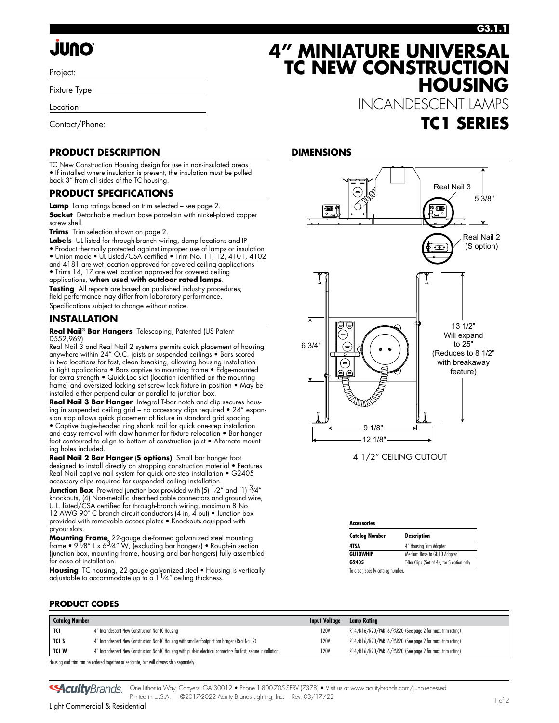# **JUNO**

Project:

Fixture Type:

Location:

Contact/Phone:

### **PRODUCT DESCRIPTION**

TC New Construction Housing design for use in non-insulated areas • If installed where insulation is present, the insulation must be pulled back 3" from all sides of the TC housing.

### **PRODUCT SPECIFICATIONS**

**Lamp** Lamp ratings based on trim selected – see page 2.

**Socket** Detachable medium base porcelain with nickel-plated copper screw shell.

**Trims** Trim selection shown on page 2.

Labels UL listed for through-branch wiring, damp locations and IP • Product thermally protected against improper use of lamps or insulation • Union made • UL Listed/CSA certified • Trim No. 11, 12, 4101, 4102 and 4181 are wet location approved for covered ceiling applications • Trims 14, 17 are wet location approved for covered ceiling applications, **when used with outdoor rated lamps**.

**Testing** All reports are based on published industry procedures; field performance may differ from laboratory performance. Specifications subject to change without notice.

### **INSTALLATION**

**Real Nail® Bar Hangers** Telescoping, Patented (US Patent D552,969)

Real Nail 3 and Real Nail 2 systems permits quick placement of housing anywhere within 24" O.C. joists or suspended ceilings • Bars scored in two locations for fast, clean breaking, allowing housing installation in tight applications • Bars captive to mounting frame • Edge-mounted for extra strength • Quick-Loc slot (location identified on the mounting frame) and oversized locking set screw lock fixture in position • May be installed either perpendicular or parallel to junction box.

**Real Nail 3 Bar Hanger** Integral T-bar notch and clip secures housing in suspended ceiling grid – no accessory clips required • 24" expansion stop allows quick placement of fixture in standard grid spacing • Captive bugle-headed ring shank nail for quick one-step installation and easy removal with claw hammer for fixture relocation • Bar hanger

foot contoured to align to bottom of construction joist • Alternate mounting holes included.

**Real Nail 2 Bar Hanger** (**S options)** Small bar hanger foot designed to install directly on strapping construction material • Features Real Nail captive nail system for quick one-step installation • G2405 accessory clips required for suspended ceiling installation.

**Junction Box** Pre-wired junction box provided with (5)  $\frac{1}{2}$  and (1)  $\frac{3}{4}$ " knockouts, (4) Non-metallic sheathed cable connectors and ground wire, U.L. listed/CSA certified for through-branch wiring, maximum 8 No. 12 AWG 90° C branch circuit conductors (4 in, 4 out) • Junction box provided with removable access plates • Knockouts equipped with pryout slots.

**Mounting Frame**, 22-gauge die-formed galvanized steel mounting<br>frame • 9 <sup>1</sup>/8″ L x 6<sup>3</sup>/4″ W, (excluding bar hangers) • Rough-in section (junction box, mounting frame, housing and bar hangers) fully assembled for ease of installation.

**Housing** TC housing, 22-gauge galvanized steel ● Housing is vertically<br>adjustable to accommodate up to a 1 <sup>1</sup>/4″ ceiling thickness.

### **4" MINIATURE UNIVERSAL TC NEW CONSTRUCTION HOUSING**

INCANDESCENT LAMPS **TC1 SERIES**

#### **DIMENSIONS**



4 1/2" CEILING CUTOUT

| <b>Accessories</b>                |                                           |  |  |  |
|-----------------------------------|-------------------------------------------|--|--|--|
| <b>Catalog Number</b>             | <b>Description</b>                        |  |  |  |
| 4TSA                              | 4" Housing Trim Adapter                   |  |  |  |
| <b>GU10WHIP</b>                   | Medium Base to GU10 Adapter               |  |  |  |
| G2405                             | T-Bar Clips (Set of 4), for S option only |  |  |  |
| To order, specify catalog number. |                                           |  |  |  |

**PRODUCT CODES**

| <b>Catalog Number</b> |                                                                                                                  | <b>Input Voltage</b> | Lamp Ratina                                               |
|-----------------------|------------------------------------------------------------------------------------------------------------------|----------------------|-----------------------------------------------------------|
| TCI                   | 4" Incandescent New Construction Non-IC Housing                                                                  | 120V                 | R14/R16/R20/PAR16/PAR20 (See page 2 for max. trim rating) |
| TCI S                 | 4" Incandescent New Construction Non-IC Housing with smaller footprint bar hanger (Real Nail 2)                  | 120V                 | R14/R16/R20/PAR16/PAR20 (See page 2 for max. trim rating) |
| TCI W                 | 4" Incandescent New Construction Non-IC Housing with push-in electrical connectors for fast, secure installation | 120V                 | R14/R16/R20/PAR16/PAR20 (See page 2 for max. trim rating) |

Housing and trim can be ordered together or separate, but will always ship separately.

One Lithonia Way, Conyers, GA 30012 • Phone 1-800-705-SERV (7378) • Visit us at www.acuitybrands.com/juno-recessed **GAcuity** Brands. Printed in U.S.A. ©2017-2022 Acuity Brands Lighting, Inc. Rev. 03/17/22 1 of 2 light Commercial & Residential in U.S.A. ©2017-2022 Acuity Brands Lighting, Inc. Rev. 03/17/22